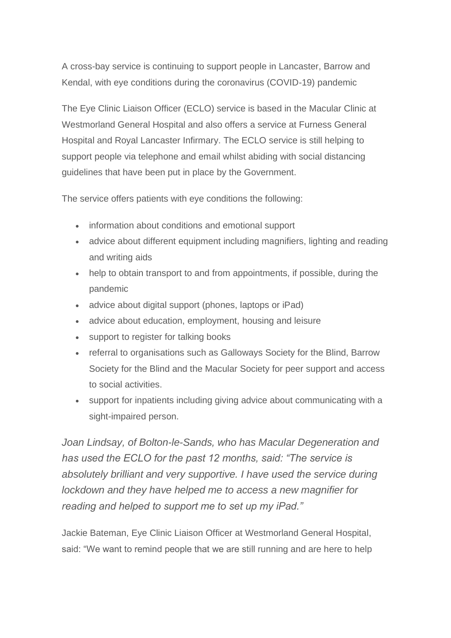A cross-bay service is continuing to support people in Lancaster, Barrow and Kendal, with eye conditions during the coronavirus (COVID-19) pandemic

The Eye Clinic Liaison Officer (ECLO) service is based in the Macular Clinic at Westmorland General Hospital and also offers a service at Furness General Hospital and Royal Lancaster Infirmary. The ECLO service is still helping to support people via telephone and email whilst abiding with social distancing guidelines that have been put in place by the Government.

The service offers patients with eye conditions the following:

- information about conditions and emotional support
- advice about different equipment including magnifiers, lighting and reading and writing aids
- help to obtain transport to and from appointments, if possible, during the pandemic
- advice about digital support (phones, laptops or iPad)
- advice about education, employment, housing and leisure
- support to register for talking books
- referral to organisations such as Galloways Society for the Blind, Barrow Society for the Blind and the Macular Society for peer support and access to social activities.
- support for inpatients including giving advice about communicating with a sight-impaired person.

*Joan Lindsay, of Bolton-le-Sands, who has Macular Degeneration and has used the ECLO for the past 12 months, said: "The service is absolutely brilliant and very supportive. I have used the service during lockdown and they have helped me to access a new magnifier for reading and helped to support me to set up my iPad."*

Jackie Bateman, Eye Clinic Liaison Officer at Westmorland General Hospital, said: "We want to remind people that we are still running and are here to help